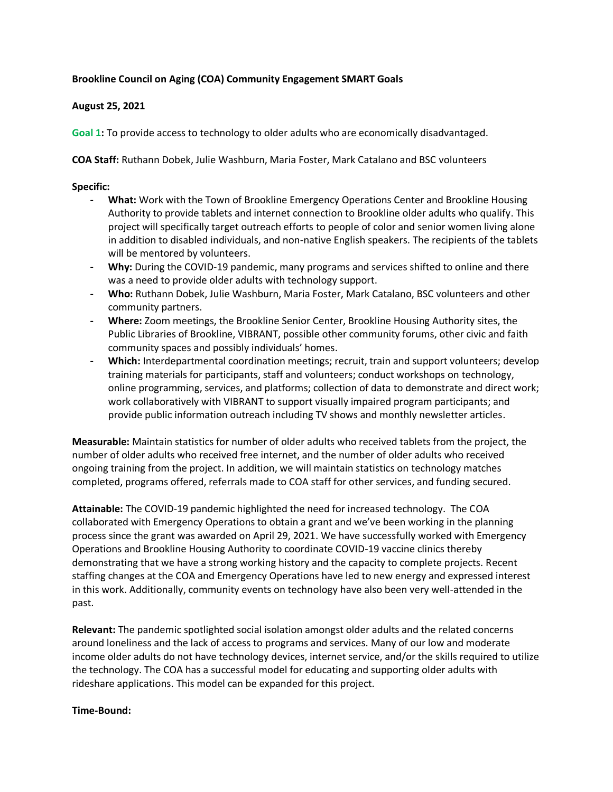## **Brookline Council on Aging (COA) Community Engagement SMART Goals**

## **August 25, 2021**

**Goal 1:** To provide access to technology to older adults who are economically disadvantaged.

**COA Staff:** Ruthann Dobek, Julie Washburn, Maria Foster, Mark Catalano and BSC volunteers

## **Specific:**

- **- What:** Work with the Town of Brookline Emergency Operations Center and Brookline Housing Authority to provide tablets and internet connection to Brookline older adults who qualify. This project will specifically target outreach efforts to people of color and senior women living alone in addition to disabled individuals, and non-native English speakers. The recipients of the tablets will be mentored by volunteers.
- **- Why:** During the COVID-19 pandemic, many programs and services shifted to online and there was a need to provide older adults with technology support.
- **- Who:** Ruthann Dobek, Julie Washburn, Maria Foster, Mark Catalano, BSC volunteers and other community partners.
- **- Where:** Zoom meetings, the Brookline Senior Center, Brookline Housing Authority sites, the Public Libraries of Brookline, VIBRANT, possible other community forums, other civic and faith community spaces and possibly individuals' homes.
- **- Which:** Interdepartmental coordination meetings; recruit, train and support volunteers; develop training materials for participants, staff and volunteers; conduct workshops on technology, online programming, services, and platforms; collection of data to demonstrate and direct work; work collaboratively with VIBRANT to support visually impaired program participants; and provide public information outreach including TV shows and monthly newsletter articles.

**Measurable:** Maintain statistics for number of older adults who received tablets from the project, the number of older adults who received free internet, and the number of older adults who received ongoing training from the project. In addition, we will maintain statistics on technology matches completed, programs offered, referrals made to COA staff for other services, and funding secured.

**Attainable:** The COVID-19 pandemic highlighted the need for increased technology. The COA collaborated with Emergency Operations to obtain a grant and we've been working in the planning process since the grant was awarded on April 29, 2021. We have successfully worked with Emergency Operations and Brookline Housing Authority to coordinate COVID-19 vaccine clinics thereby demonstrating that we have a strong working history and the capacity to complete projects. Recent staffing changes at the COA and Emergency Operations have led to new energy and expressed interest in this work. Additionally, community events on technology have also been very well-attended in the past.

**Relevant:** The pandemic spotlighted social isolation amongst older adults and the related concerns around loneliness and the lack of access to programs and services. Many of our low and moderate income older adults do not have technology devices, internet service, and/or the skills required to utilize the technology. The COA has a successful model for educating and supporting older adults with rideshare applications. This model can be expanded for this project.

#### **Time-Bound:**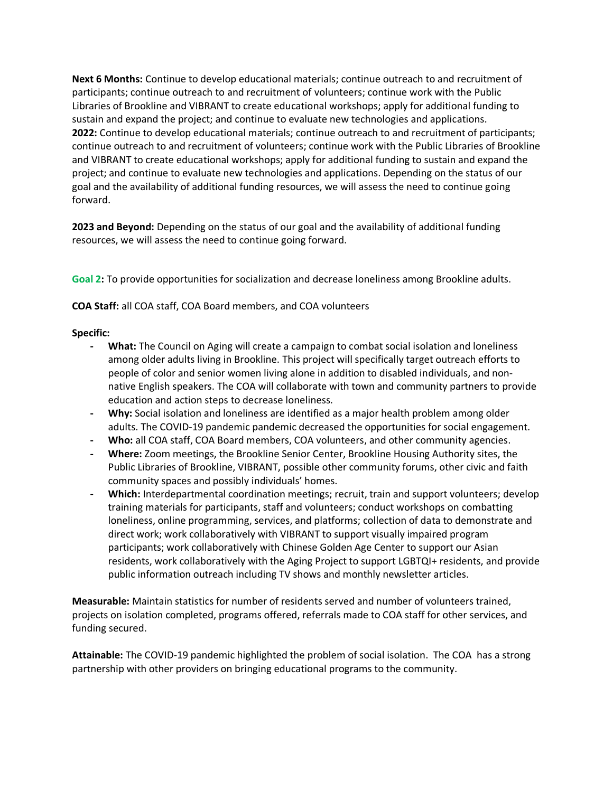**Next 6 Months:** Continue to develop educational materials; continue outreach to and recruitment of participants; continue outreach to and recruitment of volunteers; continue work with the Public Libraries of Brookline and VIBRANT to create educational workshops; apply for additional funding to sustain and expand the project; and continue to evaluate new technologies and applications. **2022:** Continue to develop educational materials; continue outreach to and recruitment of participants; continue outreach to and recruitment of volunteers; continue work with the Public Libraries of Brookline and VIBRANT to create educational workshops; apply for additional funding to sustain and expand the project; and continue to evaluate new technologies and applications. Depending on the status of our goal and the availability of additional funding resources, we will assess the need to continue going forward.

**2023 and Beyond:** Depending on the status of our goal and the availability of additional funding resources, we will assess the need to continue going forward.

**Goal 2:** To provide opportunities for socialization and decrease loneliness among Brookline adults.

**COA Staff:** all COA staff, COA Board members, and COA volunteers

#### **Specific:**

- **- What:** The Council on Aging will create a campaign to combat social isolation and loneliness among older adults living in Brookline. This project will specifically target outreach efforts to people of color and senior women living alone in addition to disabled individuals, and nonnative English speakers. The COA will collaborate with town and community partners to provide education and action steps to decrease loneliness.
- **- Why:** Social isolation and loneliness are identified as a major health problem among older adults. The COVID-19 pandemic pandemic decreased the opportunities for social engagement.
- **- Who:** all COA staff, COA Board members, COA volunteers, and other community agencies.
- **- Where:** Zoom meetings, the Brookline Senior Center, Brookline Housing Authority sites, the Public Libraries of Brookline, VIBRANT, possible other community forums, other civic and faith community spaces and possibly individuals' homes.
- **- Which:** Interdepartmental coordination meetings; recruit, train and support volunteers; develop training materials for participants, staff and volunteers; conduct workshops on combatting loneliness, online programming, services, and platforms; collection of data to demonstrate and direct work; work collaboratively with VIBRANT to support visually impaired program participants; work collaboratively with Chinese Golden Age Center to support our Asian residents, work collaboratively with the Aging Project to support LGBTQI+ residents, and provide public information outreach including TV shows and monthly newsletter articles.

**Measurable:** Maintain statistics for number of residents served and number of volunteers trained, projects on isolation completed, programs offered, referrals made to COA staff for other services, and funding secured.

**Attainable:** The COVID-19 pandemic highlighted the problem of social isolation. The COA has a strong partnership with other providers on bringing educational programs to the community.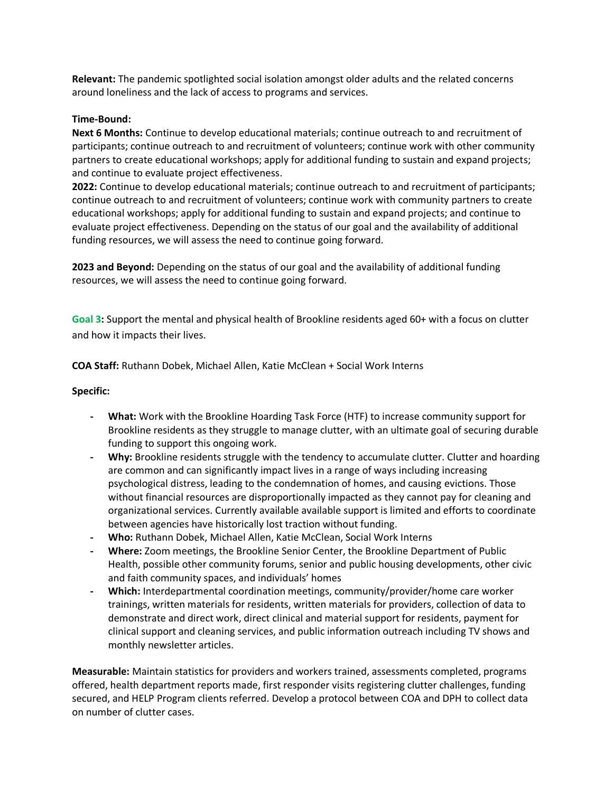**Relevant:** The pandemic spotlighted social isolation amongst older adults and the related concerns around loneliness and the lack of access to programs and services.

#### **Time-Bound:**

**Next 6 Months:** Continue to develop educational materials; continue outreach to and recruitment of participants; continue outreach to and recruitment of volunteers; continue work with other community partners to create educational workshops; apply for additional funding to sustain and expand projects; and continue to evaluate project effectiveness.

**2022:** Continue to develop educational materials; continue outreach to and recruitment of participants; continue outreach to and recruitment of volunteers; continue work with community partners to create educational workshops; apply for additional funding to sustain and expand projects; and continue to evaluate project effectiveness. Depending on the status of our goal and the availability of additional funding resources, we will assess the need to continue going forward.

**2023 and Beyond:** Depending on the status of our goal and the availability of additional funding resources, we will assess the need to continue going forward.

**Goal 3:** Support the mental and physical health of Brookline residents aged 60+ with a focus on clutter and how it impacts their lives.

**COA Staff:** Ruthann Dobek, Michael Allen, Katie McClean + Social Work Interns

## **Specific:**

- **- What:** Work with the Brookline Hoarding Task Force (HTF) to increase community support for Brookline residents as they struggle to manage clutter, with an ultimate goal of securing durable funding to support this ongoing work.
- **- Why:** Brookline residents struggle with the tendency to accumulate clutter. Clutter and hoarding are common and can significantly impact lives in a range of ways including increasing psychological distress, leading to the condemnation of homes, and causing evictions. Those without financial resources are disproportionally impacted as they cannot pay for cleaning and organizational services. Currently available available support is limited and efforts to coordinate between agencies have historically lost traction without funding.
- **- Who:** Ruthann Dobek, Michael Allen, Katie McClean, Social Work Interns
- **- Where:** Zoom meetings, the Brookline Senior Center, the Brookline Department of Public Health, possible other community forums, senior and public housing developments, other civic and faith community spaces, and individuals' homes
- **- Which:** Interdepartmental coordination meetings, community/provider/home care worker trainings, written materials for residents, written materials for providers, collection of data to demonstrate and direct work, direct clinical and material support for residents, payment for clinical support and cleaning services, and public information outreach including TV shows and monthly newsletter articles.

**Measurable:** Maintain statistics for providers and workers trained, assessments completed, programs offered, health department reports made, first responder visits registering clutter challenges, funding secured, and HELP Program clients referred. Develop a protocol between COA and DPH to collect data on number of clutter cases.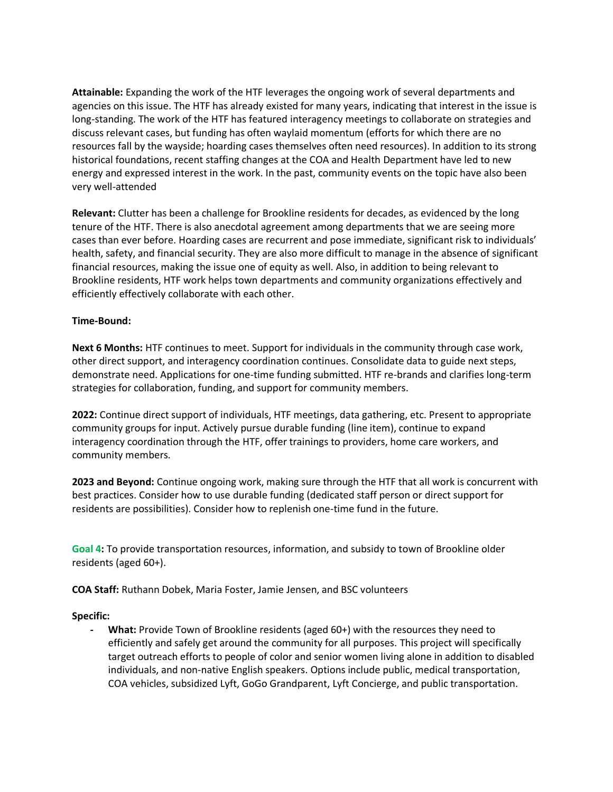**Attainable:** Expanding the work of the HTF leverages the ongoing work of several departments and agencies on this issue. The HTF has already existed for many years, indicating that interest in the issue is long-standing. The work of the HTF has featured interagency meetings to collaborate on strategies and discuss relevant cases, but funding has often waylaid momentum (efforts for which there are no resources fall by the wayside; hoarding cases themselves often need resources). In addition to its strong historical foundations, recent staffing changes at the COA and Health Department have led to new energy and expressed interest in the work. In the past, community events on the topic have also been very well-attended

**Relevant:** Clutter has been a challenge for Brookline residents for decades, as evidenced by the long tenure of the HTF. There is also anecdotal agreement among departments that we are seeing more cases than ever before. Hoarding cases are recurrent and pose immediate, significant risk to individuals' health, safety, and financial security. They are also more difficult to manage in the absence of significant financial resources, making the issue one of equity as well. Also, in addition to being relevant to Brookline residents, HTF work helps town departments and community organizations effectively and efficiently effectively collaborate with each other.

#### **Time-Bound:**

**Next 6 Months:** HTF continues to meet. Support for individuals in the community through case work, other direct support, and interagency coordination continues. Consolidate data to guide next steps, demonstrate need. Applications for one-time funding submitted. HTF re-brands and clarifies long-term strategies for collaboration, funding, and support for community members.

**2022:** Continue direct support of individuals, HTF meetings, data gathering, etc. Present to appropriate community groups for input. Actively pursue durable funding (line item), continue to expand interagency coordination through the HTF, offer trainings to providers, home care workers, and community members.

**2023 and Beyond:** Continue ongoing work, making sure through the HTF that all work is concurrent with best practices. Consider how to use durable funding (dedicated staff person or direct support for residents are possibilities). Consider how to replenish one-time fund in the future.

**Goal 4:** To provide transportation resources, information, and subsidy to town of Brookline older residents (aged 60+).

**COA Staff:** Ruthann Dobek, Maria Foster, Jamie Jensen, and BSC volunteers

#### **Specific:**

**- What:** Provide Town of Brookline residents (aged 60+) with the resources they need to efficiently and safely get around the community for all purposes. This project will specifically target outreach efforts to people of color and senior women living alone in addition to disabled individuals, and non-native English speakers. Options include public, medical transportation, COA vehicles, subsidized Lyft, GoGo Grandparent, Lyft Concierge, and public transportation.